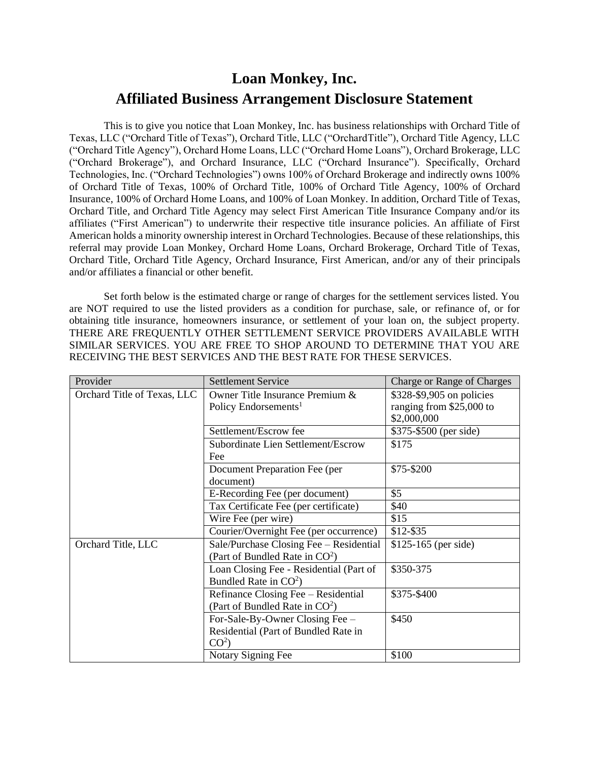## **Loan Monkey, Inc. Affiliated Business Arrangement Disclosure Statement**

This is to give you notice that Loan Monkey, Inc. has business relationships with Orchard Title of Texas, LLC ("Orchard Title of Texas"), Orchard Title, LLC ("OrchardTitle"), Orchard Title Agency, LLC ("Orchard Title Agency"), Orchard Home Loans, LLC ("Orchard Home Loans"), Orchard Brokerage, LLC ("Orchard Brokerage"), and Orchard Insurance, LLC ("Orchard Insurance"). Specifically, Orchard Technologies, Inc. ("Orchard Technologies") owns 100% of Orchard Brokerage and indirectly owns 100% of Orchard Title of Texas, 100% of Orchard Title, 100% of Orchard Title Agency, 100% of Orchard Insurance, 100% of Orchard Home Loans, and 100% of Loan Monkey. In addition, Orchard Title of Texas, Orchard Title, and Orchard Title Agency may select First American Title Insurance Company and/or its affiliates ("First American") to underwrite their respective title insurance policies. An affiliate of First American holds a minority ownership interest in Orchard Technologies. Because of these relationships, this referral may provide Loan Monkey, Orchard Home Loans, Orchard Brokerage, Orchard Title of Texas, Orchard Title, Orchard Title Agency, Orchard Insurance, First American, and/or any of their principals and/or affiliates a financial or other benefit.

Set forth below is the estimated charge or range of charges for the settlement services listed. You are NOT required to use the listed providers as a condition for purchase, sale, or refinance of, or for obtaining title insurance, homeowners insurance, or settlement of your loan on, the subject property. THERE ARE FREQUENTLY OTHER SETTLEMENT SERVICE PROVIDERS AVAILABLE WITH SIMILAR SERVICES. YOU ARE FREE TO SHOP AROUND TO DETERMINE THAT YOU ARE RECEIVING THE BEST SERVICES AND THE BEST RATE FOR THESE SERVICES.

| Provider                    | <b>Settlement Service</b>                                                             | Charge or Range of Charges                                           |
|-----------------------------|---------------------------------------------------------------------------------------|----------------------------------------------------------------------|
| Orchard Title of Texas, LLC | Owner Title Insurance Premium &<br>Policy Endorsements <sup>1</sup>                   | \$328-\$9,905 on policies<br>ranging from \$25,000 to<br>\$2,000,000 |
|                             | Settlement/Escrow fee                                                                 | \$375-\$500 (per side)                                               |
|                             | Subordinate Lien Settlement/Escrow<br>Fee                                             | \$175                                                                |
|                             | Document Preparation Fee (per<br>document)                                            | \$75-\$200                                                           |
|                             | E-Recording Fee (per document)                                                        | \$5                                                                  |
|                             | Tax Certificate Fee (per certificate)                                                 | \$40                                                                 |
|                             | Wire Fee (per wire)                                                                   | \$15                                                                 |
|                             | Courier/Overnight Fee (per occurrence)                                                | $$12 - $35$                                                          |
| Orchard Title, LLC          | Sale/Purchase Closing Fee – Residential<br>(Part of Bundled Rate in CO <sup>2</sup> ) | $$125-165$ (per side)                                                |
|                             | Loan Closing Fee - Residential (Part of<br>Bundled Rate in $CO2$ )                    | \$350-375                                                            |
|                             | Refinance Closing Fee – Residential<br>(Part of Bundled Rate in $CO2$ )               | \$375-\$400                                                          |
|                             | For-Sale-By-Owner Closing Fee -<br>Residential (Part of Bundled Rate in<br>$CO2$ )    | \$450                                                                |
|                             | Notary Signing Fee                                                                    | \$100                                                                |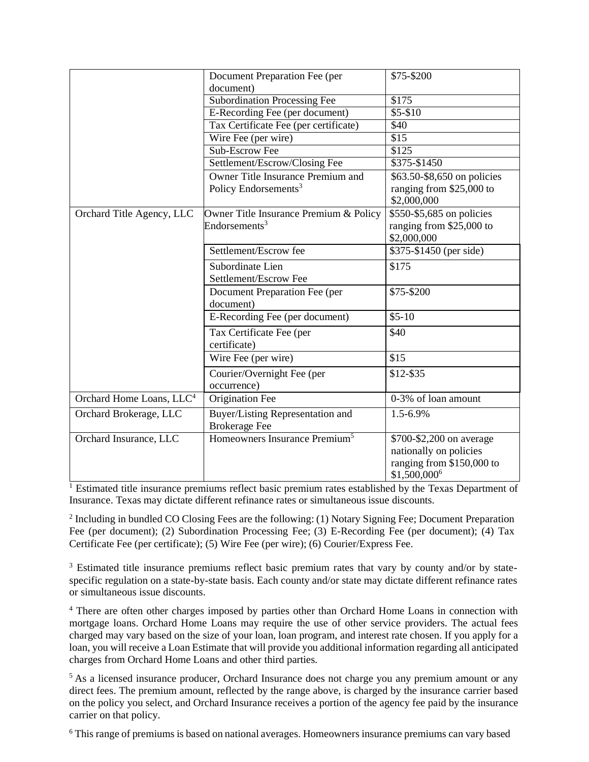|                                      | Document Preparation Fee (per                            | \$75-\$200                                            |
|--------------------------------------|----------------------------------------------------------|-------------------------------------------------------|
|                                      | document)                                                |                                                       |
|                                      | <b>Subordination Processing Fee</b>                      | \$175                                                 |
|                                      | E-Recording Fee (per document)                           | $$5 - $10$                                            |
|                                      | Tax Certificate Fee (per certificate)                    | \$40                                                  |
|                                      | Wire Fee (per wire)                                      | $\overline{$15}$                                      |
|                                      | Sub-Escrow Fee                                           | \$125                                                 |
|                                      | Settlement/Escrow/Closing Fee                            | $$375 - $1450$                                        |
|                                      | Owner Title Insurance Premium and                        | \$63.50-\$8,650 on policies                           |
|                                      | Policy Endorsements <sup>3</sup>                         | ranging from \$25,000 to<br>\$2,000,000               |
| Orchard Title Agency, LLC            | Owner Title Insurance Premium & Policy                   | \$550-\$5,685 on policies                             |
|                                      | Endorsements <sup>3</sup>                                | ranging from \$25,000 to<br>\$2,000,000               |
|                                      | Settlement/Escrow fee                                    | \$375-\$1450 (per side)                               |
|                                      | Subordinate Lien                                         | \$175                                                 |
|                                      | Settlement/Escrow Fee                                    |                                                       |
|                                      | Document Preparation Fee (per                            | \$75-\$200                                            |
|                                      | document)                                                |                                                       |
|                                      | E-Recording Fee (per document)                           | $$5-10$                                               |
|                                      | Tax Certificate Fee (per                                 | \$40                                                  |
|                                      | certificate)                                             |                                                       |
|                                      | Wire Fee (per wire)                                      | \$15                                                  |
|                                      | Courier/Overnight Fee (per                               | \$12-\$35                                             |
|                                      | occurrence)                                              |                                                       |
| Orchard Home Loans, LLC <sup>4</sup> | Origination Fee                                          | 0-3% of loan amount                                   |
| Orchard Brokerage, LLC               | Buyer/Listing Representation and<br><b>Brokerage Fee</b> | 1.5-6.9%                                              |
| Orchard Insurance, LLC               | Homeowners Insurance Premium <sup>5</sup>                | \$700-\$2,200 on average                              |
|                                      |                                                          | nationally on policies                                |
|                                      |                                                          | ranging from \$150,000 to<br>\$1,500,000 <sup>6</sup> |

<sup>1</sup> Estimated title insurance premiums reflect basic premium rates established by the Texas Department of Insurance. Texas may dictate different refinance rates or simultaneous issue discounts.

<sup>2</sup> Including in bundled CO Closing Fees are the following: (1) Notary Signing Fee; Document Preparation Fee (per document); (2) Subordination Processing Fee; (3) E-Recording Fee (per document); (4) Tax Certificate Fee (per certificate); (5) Wire Fee (per wire); (6) Courier/Express Fee.

<sup>3</sup> Estimated title insurance premiums reflect basic premium rates that vary by county and/or by statespecific regulation on a state-by-state basis. Each county and/or state may dictate different refinance rates or simultaneous issue discounts.

<sup>4</sup> There are often other charges imposed by parties other than Orchard Home Loans in connection with mortgage loans. Orchard Home Loans may require the use of other service providers. The actual fees charged may vary based on the size of your loan, loan program, and interest rate chosen. If you apply for a loan, you will receive a Loan Estimate that will provide you additional information regarding all anticipated charges from Orchard Home Loans and other third parties.

<sup>5</sup>As a licensed insurance producer, Orchard Insurance does not charge you any premium amount or any direct fees. The premium amount, reflected by the range above, is charged by the insurance carrier based on the policy you select, and Orchard Insurance receives a portion of the agency fee paid by the insurance carrier on that policy.

<sup>6</sup> This range of premiums is based on national averages. Homeowners insurance premiums can vary based